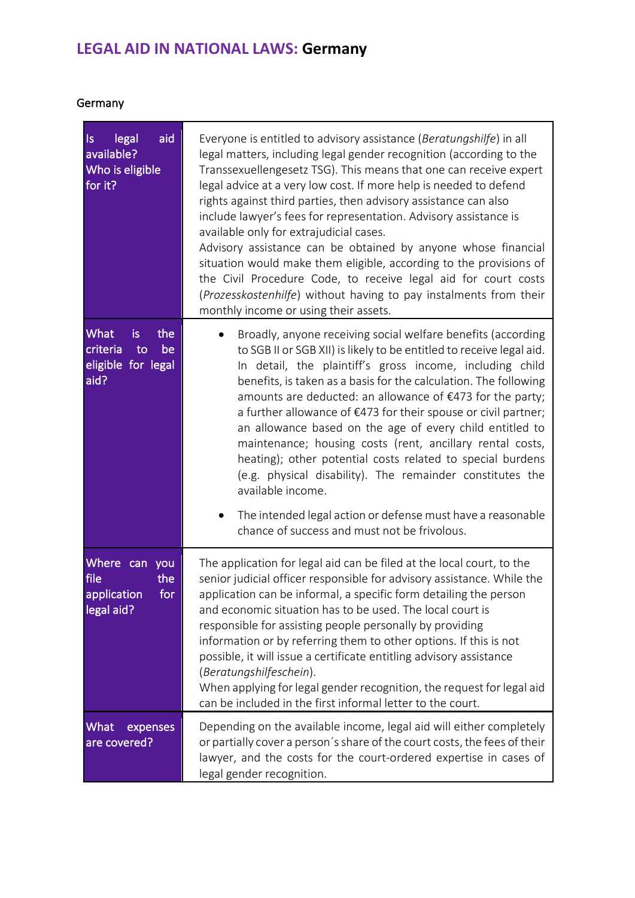## **LEGAL AID IN NATIONAL LAWS: Germany**

## Germany

| aid<br>legal<br>$\vert s \vert$<br>available?<br>Who is eligible<br>for it? | Everyone is entitled to advisory assistance (Beratungshilfe) in all<br>legal matters, including legal gender recognition (according to the<br>Transsexuellengesetz TSG). This means that one can receive expert<br>legal advice at a very low cost. If more help is needed to defend<br>rights against third parties, then advisory assistance can also<br>include lawyer's fees for representation. Advisory assistance is<br>available only for extrajudicial cases.<br>Advisory assistance can be obtained by anyone whose financial<br>situation would make them eligible, according to the provisions of<br>the Civil Procedure Code, to receive legal aid for court costs<br>(Prozesskostenhilfe) without having to pay instalments from their<br>monthly income or using their assets.                                   |
|-----------------------------------------------------------------------------|---------------------------------------------------------------------------------------------------------------------------------------------------------------------------------------------------------------------------------------------------------------------------------------------------------------------------------------------------------------------------------------------------------------------------------------------------------------------------------------------------------------------------------------------------------------------------------------------------------------------------------------------------------------------------------------------------------------------------------------------------------------------------------------------------------------------------------|
| What<br>the<br>is.<br>criteria<br>be<br>to<br>eligible for legal<br>aid?    | Broadly, anyone receiving social welfare benefits (according<br>$\bullet$<br>to SGB II or SGB XII) is likely to be entitled to receive legal aid.<br>In detail, the plaintiff's gross income, including child<br>benefits, is taken as a basis for the calculation. The following<br>amounts are deducted: an allowance of $\epsilon$ 473 for the party;<br>a further allowance of €473 for their spouse or civil partner;<br>an allowance based on the age of every child entitled to<br>maintenance; housing costs (rent, ancillary rental costs,<br>heating); other potential costs related to special burdens<br>(e.g. physical disability). The remainder constitutes the<br>available income.<br>The intended legal action or defense must have a reasonable<br>$\bullet$<br>chance of success and must not be frivolous. |
| Where can you<br>file<br>the<br>for<br>application<br>legal aid?            | The application for legal aid can be filed at the local court, to the<br>senior judicial officer responsible for advisory assistance. While the<br>application can be informal, a specific form detailing the person<br>and economic situation has to be used. The local court is<br>responsible for assisting people personally by providing<br>information or by referring them to other options. If this is not<br>possible, it will issue a certificate entitling advisory assistance<br>(Beratungshilfeschein).<br>When applying for legal gender recognition, the request for legal aid<br>can be included in the first informal letter to the court.                                                                                                                                                                     |
| What<br>expenses<br>are covered?                                            | Depending on the available income, legal aid will either completely<br>or partially cover a person's share of the court costs, the fees of their<br>lawyer, and the costs for the court-ordered expertise in cases of<br>legal gender recognition.                                                                                                                                                                                                                                                                                                                                                                                                                                                                                                                                                                              |